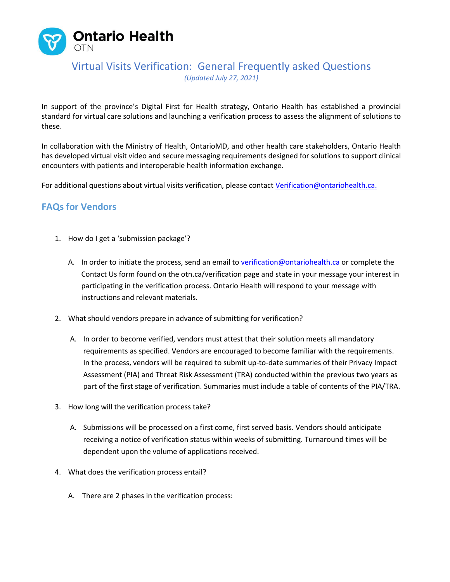

In support of the province's Digital First for Health strategy, Ontario Health has established a provincial standard for virtual care solutions and launching a verification process to assess the alignment of solutions to these.

In collaboration with the Ministry of Health, OntarioMD, and other health care stakeholders, Ontario Health has developed virtual visit video and secure messaging requirements designed for solutions to support clinical encounters with patients and interoperable health information exchange.

For additional questions about virtual visits verification, please contact [Verification@ontariohealth.ca.](mailto:Verification@ontariohealth.ca)

### **FAQs for Vendors**

- 1. How do I get a 'submission package'?
	- A. In order to initiate the process, send an email to [verification@ontariohealth.ca](mailto:Verification@ontariohealth.ca) or complete the Contact Us form found on the otn.ca/verification page and state in your message your interest in participating in the verification process. Ontario Health will respond to your message with instructions and relevant materials.
- 2. What should vendors prepare in advance of submitting for verification?
	- A. In order to become verified, vendors must attest that their solution meets al[l mandatory](https://otn.ca/vendors/virtual-visit-guidance/)  [requirements](https://otn.ca/vendors/virtual-visit-guidance/) as specified. Vendors are encouraged to become familiar with the requirements. In the process, vendors will be required to submit up-to-date summaries of their Privacy Impact Assessment (PIA) and Threat Risk Assessment (TRA) conducted within the previous two years as part of the first stage of verification. Summaries must include a table of contents of the PIA/TRA.
- 3. How long will the verification process take?
	- A. Submissions will be processed on a first come, first served basis. Vendors should anticipate receiving a notice of verification status within weeks of submitting. Turnaround times will be dependent upon the volume of applications received.
- 4. What does the verification process entail?
	- A. There are 2 phases in the verification process: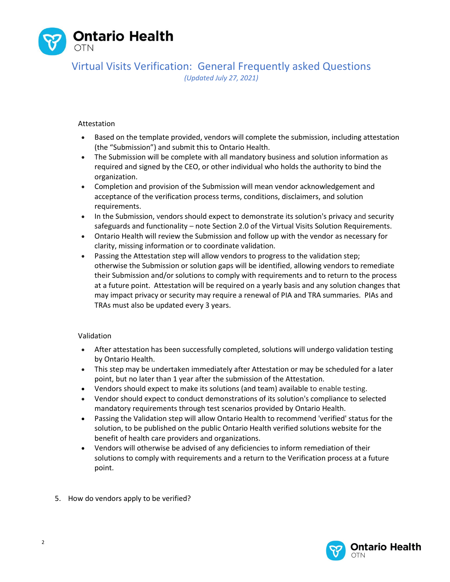

#### Attestation

- Based on the template provided, vendors will complete the submission, including attestation (the "Submission") and submit this to Ontario Health.
- The Submission will be complete with all mandatory business and solution information as required and signed by the CEO, or other individual who holds the authority to bind the organization.
- Completion and provision of the Submission will mean vendor acknowledgement and acceptance of the verification process terms, conditions, disclaimers, and solution requirements.
- In the Submission, vendors should expect to demonstrate its solution's privacy and security safeguards and functionality – note Section 2.0 of the Virtual Visits Solution Requirements.
- Ontario Health will review the Submission and follow up with the vendor as necessary for clarity, missing information or to coordinate validation.
- Passing the Attestation step will allow vendors to progress to the validation step; otherwise the Submission or solution gaps will be identified, allowing vendors to remediate their Submission and/or solutions to comply with requirements and to return to the process at a future point. Attestation will be required on a yearly basis and any solution changes that may impact privacy or security may require a renewal of PIA and TRA summaries. PIAs and TRAs must also be updated every 3 years.

#### Validation

- After attestation has been successfully completed, solutions will undergo validation testing by Ontario Health.
- This step may be undertaken immediately after Attestation or may be scheduled for a later point, but no later than 1 year after the submission of the Attestation.
- Vendors should expect to make its solutions (and team) available to enable testing.
- Vendor should expect to conduct demonstrations of its solution's compliance to selected mandatory requirements through test scenarios provided by Ontario Health.
- Passing the Validation step will allow Ontario Health to recommend 'verified' status for the solution, to be published on the public Ontario Health verified solutions website for the benefit of health care providers and organizations.
- Vendors will otherwise be advised of any deficiencies to inform remediation of their solutions to comply with requirements and a return to the Verification process at a future point.
- 5. How do vendors apply to be verified?

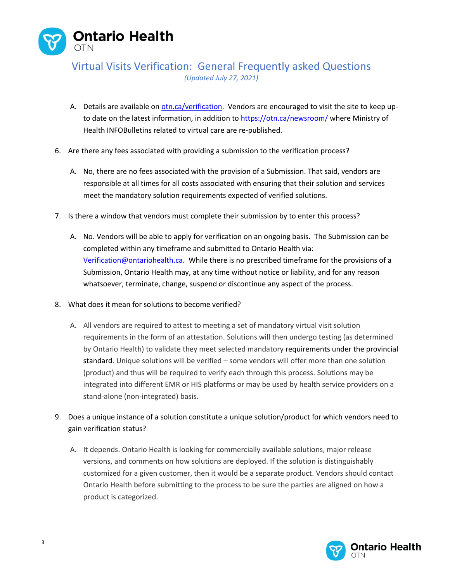

- A. Details are available o[n otn.ca/verification.](https://ontariohealth-my.sharepoint.com/personal/katrina_rudy_ontariohealth_ca/Documents/Partner%20Video%20Project/Acceleration/Phase%201/FAQ/otn.ca/verification) Vendors are encouraged to visit the site to keep upto date on the latest information, in addition to <https://otn.ca/newsroom/> where Ministry of Health INFOBulletins related to virtual care are re-published.
- 6. Are there any fees associated with providing a submission to the verification process?
	- A. No, there are no fees associated with the provision of a Submission. That said, vendors are responsible at all times for all costs associated with ensuring that their solution and services meet the mandatory solution requirements expected of verified solutions.
- 7. Is there a window that vendors must complete their submission by to enter this process?
	- A. No. Vendors will be able to apply for verification on an ongoing basis. The Submission can be completed within any timeframe and submitted to Ontario Health via: [Verification@ontariohealth.ca.](https://otnca-my.sharepoint.com/personal/krudy_otn_ca/Documents/Partner%20Video%20Project/Acceleration/Process%20FAQ/Verification@ontariohealth.ca.) While there is no prescribed timeframe for the provisions of a Submission, Ontario Health may, at any time without notice or liability, and for any reason whatsoever, terminate, change, suspend or discontinue any aspect of the process.
- 8. What does it mean for solutions to become verified?
	- A. All vendors are required to attest to meeting a set of mandatory virtual visit solution requirements in the form of an attestation. Solutions will then undergo testing (as determined by Ontario Health) to validate they meet selected mandatory requirements under the provincial standard. Unique solutions will be verified – some vendors will offer more than one solution (product) and thus will be required to verify each through this process. Solutions may be integrated into different EMR or HIS platforms or may be used by health service providers on a stand-alone (non-integrated) basis.
- 9. Does a unique instance of a solution constitute a unique solution/product for which vendors need to gain verification status?
	- A. It depends. Ontario Health is looking for commercially available solutions, major release versions, and comments on how solutions are deployed. If the solution is distinguishably customized for a given customer, then it would be a separate product. Vendors should contact Ontario Health before submitting to the process to be sure the parties are aligned on how a product is categorized.

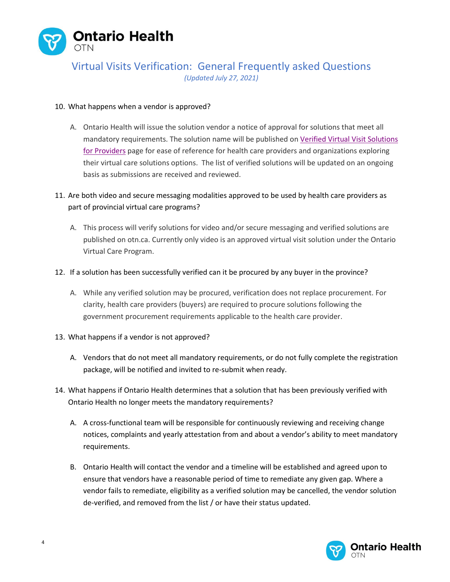

#### 10. What happens when a vendor is approved?

A. Ontario Health will issue the solution vendor a notice of approval for solutions that meet all mandatory requirements. The solution name will be published on [Verified Virtual Visit Solutions](https://otn.ca/providers/verified-solutions/)  [for Providers](https://otn.ca/providers/verified-solutions/) page for ease of reference for health care providers and organizations exploring their virtual care solutions options. The list of verified solutions will be updated on an ongoing basis as submissions are received and reviewed.

### 11. Are both video and secure messaging modalities approved to be used by health care providers as part of provincial virtual care programs?

A. This process will verify solutions for video and/or secure messaging and verified solutions are published on otn.ca. Currently only video is an approved virtual visit solution under the Ontario Virtual Care Program.

#### 12. If a solution has been successfully verified can it be procured by any buyer in the province?

A. While any verified solution may be procured, verification does not replace procurement. For clarity, health care providers (buyers) are required to procure solutions following the government procurement requirements applicable to the health care provider.

#### 13. What happens if a vendor is not approved?

- A. Vendors that do not meet all mandatory requirements, or do not fully complete the registration package, will be notified and invited to re-submit when ready.
- 14. What happens if Ontario Health determines that a solution that has been previously verified with Ontario Health no longer meets the mandatory requirements?
	- A. A cross-functional team will be responsible for continuously reviewing and receiving change notices, complaints and yearly attestation from and about a vendor's ability to meet mandatory requirements.
	- B. Ontario Health will contact the vendor and a timeline will be established and agreed upon to ensure that vendors have a reasonable period of time to remediate any given gap. Where a vendor fails to remediate, eligibility as a verified solution may be cancelled, the vendor solution de-verified, and removed from the list / or have their status updated.

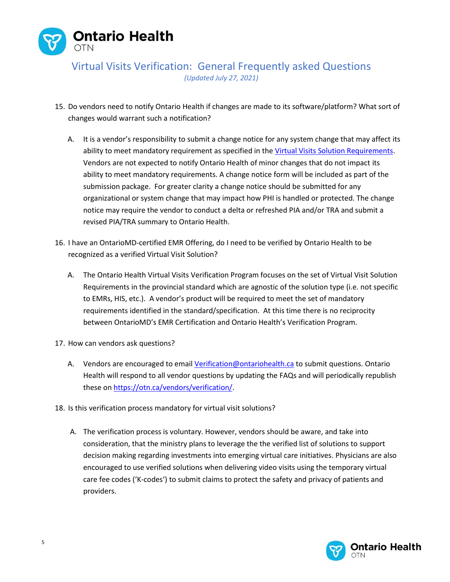

- 15. Do vendors need to notify Ontario Health if changes are made to its software/platform? What sort of changes would warrant such a notification?
	- A. It is a vendor's responsibility to submit a change notice for any system change that may affect its ability to meet mandatory requirement as specified in the [Virtual Visits Solution Requirements.](https://otn.ca/vendors/virtual-visit-guidance/) Vendors are not expected to notify Ontario Health of minor changes that do not impact its ability to meet mandatory requirements. A change notice form will be included as part of the submission package. For greater clarity a change notice should be submitted for any organizational or system change that may impact how PHI is handled or protected. The change notice may require the vendor to conduct a delta or refreshed PIA and/or TRA and submit a revised PIA/TRA summary to Ontario Health.
- 16. I have an OntarioMD-certified EMR Offering, do I need to be verified by Ontario Health to be recognized as a verified Virtual Visit Solution?
	- A. The Ontario Health Virtual Visits Verification Program focuses on the set of Virtual Visit Solution Requirements in the provincial standard which are agnostic of the solution type (i.e. not specific to EMRs, HIS, etc.). A vendor's product will be required to meet the set of mandatory requirements identified in the standard/specification. At this time there is no reciprocity between OntarioMD's EMR Certification and Ontario Health's Verification Program.
- 17. How can vendors ask questions?
	- A. Vendors are encouraged to emai[l Verification@ontariohealth.ca](mailto:Verification@ontariohealth.ca) to submit questions. Ontario Health will respond to all vendor questions by updating the FAQs and will periodically republish these o[n https://otn.ca/vendors/verification/.](https://otn.ca/vendors/verification/)
- 18. Is this verification process mandatory for virtual visit solutions?
	- A. The verification process is voluntary. However, vendors should be aware, and take into consideration, that the ministry plans to leverage the the verified list of solutions to support decision making regarding investments into emerging virtual care initiatives. Physicians are also encouraged to use verified solutions when delivering video visits using the temporary virtual care fee codes ('K-codes') to submit claims to protect the safety and privacy of patients and providers.

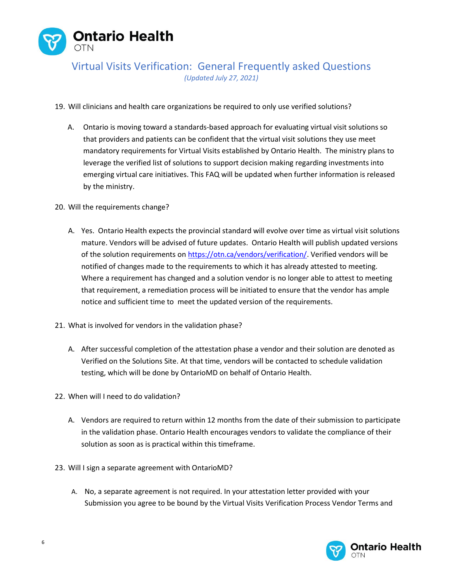

- 19. Will clinicians and health care organizations be required to only use verified solutions?
	- A. Ontario is moving toward a standards-based approach for evaluating virtual visit solutions so that providers and patients can be confident that the virtual visit solutions they use meet mandatory requirements for Virtual Visits established by Ontario Health. The ministry plans to leverage the verified list of solutions to support decision making regarding investments into emerging virtual care initiatives. This FAQ will be updated when further information is released by the ministry.
- 20. Will the requirements change?
	- A. Yes. Ontario Health expects the provincial standard will evolve over time as virtual visit solutions mature. Vendors will be advised of future updates. Ontario Health will publish updated versions of the solution requirements o[n https://otn.ca/vendors/verification/.](https://otn.ca/vendors/verification/) Verified vendors will be notified of changes made to the requirements to which it has already attested to meeting. Where a requirement has changed and a solution vendor is no longer able to attest to meeting that requirement, a remediation process will be initiated to ensure that the vendor has ample notice and sufficient time to meet the updated version of the requirements.
- 21. What is involved for vendors in the validation phase?
	- A. After successful completion of the attestation phase a vendor and their solution are denoted as Verified on the Solutions Site. At that time, vendors will be contacted to schedule validation testing, which will be done by OntarioMD on behalf of Ontario Health.
- 22. When will I need to do validation?
	- A. Vendors are required to return within 12 months from the date of their submission to participate in the validation phase. Ontario Health encourages vendors to validate the compliance of their solution as soon as is practical within this timeframe.
- 23. Will I sign a separate agreement with OntarioMD?
	- A. No, a separate agreement is not required. In your attestation letter provided with your Submission you agree to be bound by the Virtual Visits Verification Process Vendor Terms and